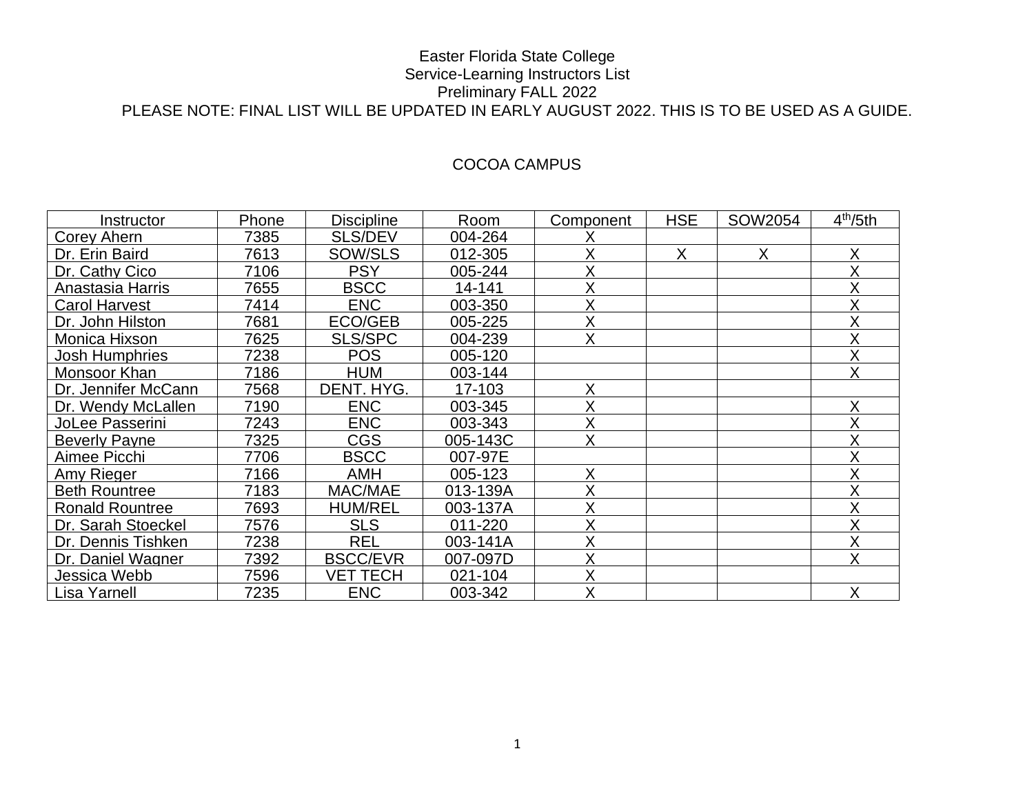# COCOA CAMPUS

| Instructor             | Phone | <b>Discipline</b> | Room     | Component | <b>HSE</b> | SOW2054 | 4 <sup>th</sup> /5th |
|------------------------|-------|-------------------|----------|-----------|------------|---------|----------------------|
| Corey Ahern            | 7385  | <b>SLS/DEV</b>    | 004-264  |           |            |         |                      |
| Dr. Erin Baird         | 7613  | SOW/SLS           | 012-305  | Χ         | X          | X       | Χ                    |
| Dr. Cathy Cico         | 7106  | <b>PSY</b>        | 005-244  | Χ         |            |         | Χ                    |
| Anastasia Harris       | 7655  | <b>BSCC</b>       | 14-141   | X         |            |         | Χ                    |
| Carol Harvest          | 7414  | <b>ENC</b>        | 003-350  | X         |            |         | X                    |
| Dr. John Hilston       | 7681  | ECO/GEB           | 005-225  | X         |            |         | Χ                    |
| Monica Hixson          | 7625  | <b>SLS/SPC</b>    | 004-239  | Χ         |            |         | Χ                    |
| <b>Josh Humphries</b>  | 7238  | <b>POS</b>        | 005-120  |           |            |         | Χ                    |
| Monsoor Khan           | 7186  | <b>HUM</b>        | 003-144  |           |            |         | Χ                    |
| Dr. Jennifer McCann    | 7568  | DENT. HYG.        | 17-103   | X         |            |         |                      |
| Dr. Wendy McLallen     | 7190  | <b>ENC</b>        | 003-345  | Χ         |            |         | Χ                    |
| JoLee Passerini        | 7243  | <b>ENC</b>        | 003-343  | X         |            |         | Χ                    |
| <b>Beverly Payne</b>   | 7325  | <b>CGS</b>        | 005-143C | X         |            |         | Χ                    |
| Aimee Picchi           | 7706  | <b>BSCC</b>       | 007-97E  |           |            |         | Χ                    |
| Amy Rieger             | 7166  | <b>AMH</b>        | 005-123  | X         |            |         | Χ                    |
| <b>Beth Rountree</b>   | 7183  | MAC/MAE           | 013-139A | Χ         |            |         | Χ                    |
| <b>Ronald Rountree</b> | 7693  | <b>HUM/REL</b>    | 003-137A | Χ         |            |         | Χ                    |
| Dr. Sarah Stoeckel     | 7576  | <b>SLS</b>        | 011-220  | X         |            |         | Χ                    |
| Dr. Dennis Tishken     | 7238  | <b>REL</b>        | 003-141A | X         |            |         | Χ                    |
| Dr. Daniel Wagner      | 7392  | <b>BSCC/EVR</b>   | 007-097D | Χ         |            |         | Χ                    |
| Jessica Webb           | 7596  | VET TECH          | 021-104  | Χ         |            |         |                      |
| Lisa Yarnell           | 7235  | <b>ENC</b>        | 003-342  | X         |            |         | Χ                    |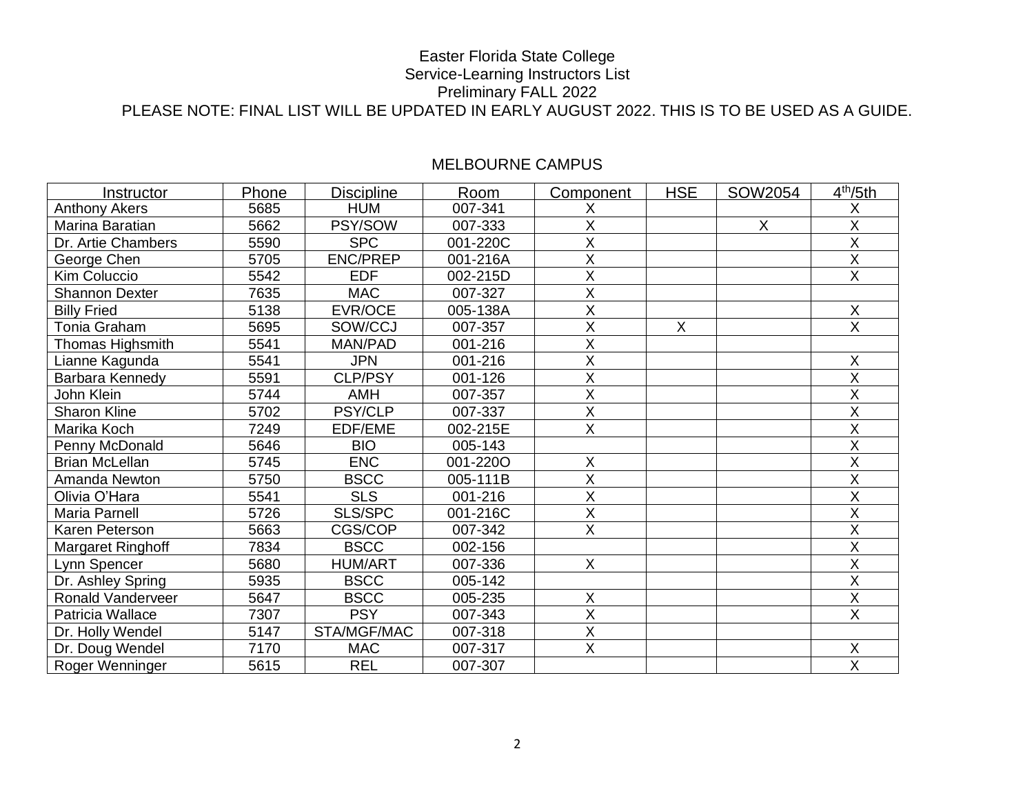| Instructor               | Phone | <b>Discipline</b> | Room     | Component               | <b>HSE</b>     | SOW2054 | 4 <sup>th</sup> /5th    |
|--------------------------|-------|-------------------|----------|-------------------------|----------------|---------|-------------------------|
| <b>Anthony Akers</b>     | 5685  | <b>HUM</b>        | 007-341  | Χ                       |                |         | Χ                       |
| Marina Baratian          | 5662  | PSY/SOW           | 007-333  | X                       |                | X       | X                       |
| Dr. Artie Chambers       | 5590  | <b>SPC</b>        | 001-220C | $\sf X$                 |                |         | $\sf X$                 |
| George Chen              | 5705  | <b>ENC/PREP</b>   | 001-216A | X                       |                |         | X                       |
| <b>Kim Coluccio</b>      | 5542  | <b>EDF</b>        | 002-215D | $\overline{\mathsf{x}}$ |                |         | $\overline{X}$          |
| <b>Shannon Dexter</b>    | 7635  | <b>MAC</b>        | 007-327  | X                       |                |         |                         |
| <b>Billy Fried</b>       | 5138  | EVR/OCE           | 005-138A | X                       |                |         | X                       |
| Tonia Graham             | 5695  | SOW/CCJ           | 007-357  | $\overline{\mathsf{x}}$ | $\overline{X}$ |         | $\overline{X}$          |
| Thomas Highsmith         | 5541  | MAN/PAD           | 001-216  | X                       |                |         |                         |
| Lianne Kagunda           | 5541  | <b>JPN</b>        | 001-216  | $\overline{\mathsf{X}}$ |                |         | X                       |
| Barbara Kennedy          | 5591  | CLP/PSY           | 001-126  | X                       |                |         | X                       |
| John Klein               | 5744  | <b>AMH</b>        | 007-357  | X                       |                |         | X                       |
| <b>Sharon Kline</b>      | 5702  | PSY/CLP           | 007-337  | $\overline{X}$          |                |         | X                       |
| Marika Koch              | 7249  | EDF/EME           | 002-215E | $\overline{X}$          |                |         | X                       |
| Penny McDonald           | 5646  | <b>BIO</b>        | 005-143  |                         |                |         | X                       |
| <b>Brian McLellan</b>    | 5745  | <b>ENC</b>        | 001-2200 | X                       |                |         | X                       |
| Amanda Newton            | 5750  | <b>BSCC</b>       | 005-111B | X                       |                |         | X                       |
| Olivia O'Hara            | 5541  | <b>SLS</b>        | 001-216  | X                       |                |         | $\sf X$                 |
| Maria Parnell            | 5726  | SLS/SPC           | 001-216C | $\overline{\mathsf{x}}$ |                |         | $\overline{\mathsf{X}}$ |
| Karen Peterson           | 5663  | CGS/COP           | 007-342  | $\overline{X}$          |                |         | $\sf X$                 |
| Margaret Ringhoff        | 7834  | <b>BSCC</b>       | 002-156  |                         |                |         | Χ                       |
| Lynn Spencer             | 5680  | <b>HUM/ART</b>    | 007-336  | $\mathsf{X}$            |                |         | X                       |
| Dr. Ashley Spring        | 5935  | <b>BSCC</b>       | 005-142  |                         |                |         | X                       |
| <b>Ronald Vanderveer</b> | 5647  | <b>BSCC</b>       | 005-235  | $\sf X$                 |                |         | X                       |
| Patricia Wallace         | 7307  | <b>PSY</b>        | 007-343  | $\overline{\mathsf{X}}$ |                |         | $\overline{X}$          |
| Dr. Holly Wendel         | 5147  | STA/MGF/MAC       | 007-318  | $\overline{X}$          |                |         |                         |
| Dr. Doug Wendel          | 7170  | <b>MAC</b>        | 007-317  | $\overline{X}$          |                |         | $\sf X$                 |
| Roger Wenninger          | 5615  | <b>REL</b>        | 007-307  |                         |                |         | $\overline{\mathsf{x}}$ |

# MELBOURNE CAMPUS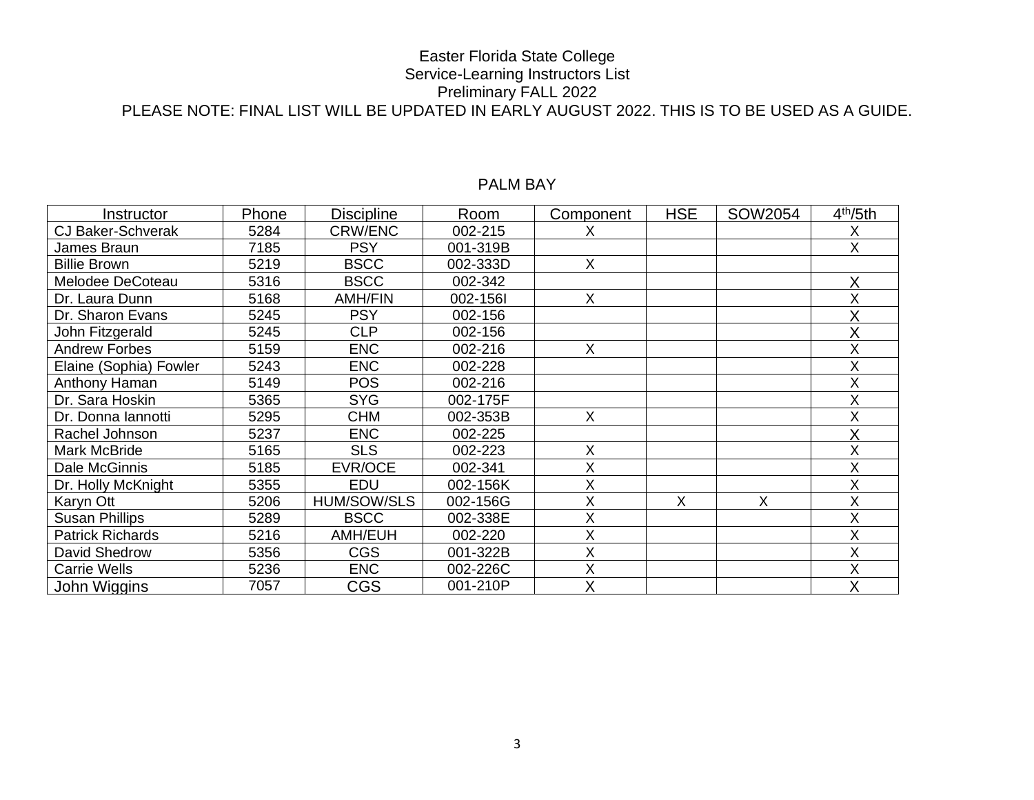| Instructor               | Phone | <b>Discipline</b>  | Room     | Component | <b>HSE</b> | SOW2054 | 4 <sup>th</sup> /5th |
|--------------------------|-------|--------------------|----------|-----------|------------|---------|----------------------|
| <b>CJ Baker-Schverak</b> | 5284  | CRW/ENC            | 002-215  | X         |            |         | Х                    |
| James Braun              | 7185  | <b>PSY</b>         | 001-319B |           |            |         | X.                   |
| <b>Billie Brown</b>      | 5219  | <b>BSCC</b>        | 002-333D | X         |            |         |                      |
| Melodee DeCoteau         | 5316  | <b>BSCC</b>        | 002-342  |           |            |         | Χ                    |
| Dr. Laura Dunn           | 5168  | <b>AMH/FIN</b>     | 002-1561 | X         |            |         |                      |
| Dr. Sharon Evans         | 5245  | <b>PSY</b>         | 002-156  |           |            |         |                      |
| John Fitzgerald          | 5245  | <b>CLP</b>         | 002-156  |           |            |         |                      |
| <b>Andrew Forbes</b>     | 5159  | <b>ENC</b>         | 002-216  | X         |            |         | Χ                    |
| Elaine (Sophia) Fowler   | 5243  | <b>ENC</b>         | 002-228  |           |            |         |                      |
| Anthony Haman            | 5149  | <b>POS</b>         | 002-216  |           |            |         | Χ                    |
| Dr. Sara Hoskin          | 5365  | <b>SYG</b>         | 002-175F |           |            |         |                      |
| Dr. Donna lannotti       | 5295  | <b>CHM</b>         | 002-353B | X         |            |         | Χ                    |
| Rachel Johnson           | 5237  | <b>ENC</b>         | 002-225  |           |            |         |                      |
| Mark McBride             | 5165  | <b>SLS</b>         | 002-223  | X         |            |         | Χ                    |
| Dale McGinnis            | 5185  | EVR/OCE            | 002-341  | X         |            |         | Χ                    |
| Dr. Holly McKnight       | 5355  | <b>EDU</b>         | 002-156K | Χ         |            |         | X                    |
| Karyn Ott                | 5206  | <b>HUM/SOW/SLS</b> | 002-156G | Χ         | X          | X       | Χ                    |
| <b>Susan Phillips</b>    | 5289  | <b>BSCC</b>        | 002-338E | Χ         |            |         | Χ                    |
| <b>Patrick Richards</b>  | 5216  | AMH/EUH            | 002-220  | X         |            |         | Χ                    |
| David Shedrow            | 5356  | <b>CGS</b>         | 001-322B | Χ         |            |         | Χ                    |
| <b>Carrie Wells</b>      | 5236  | <b>ENC</b>         | 002-226C | Χ         |            |         | Χ                    |
| John Wiggins             | 7057  | <b>CGS</b>         | 001-210P | Χ         |            |         |                      |

# PALM BAY